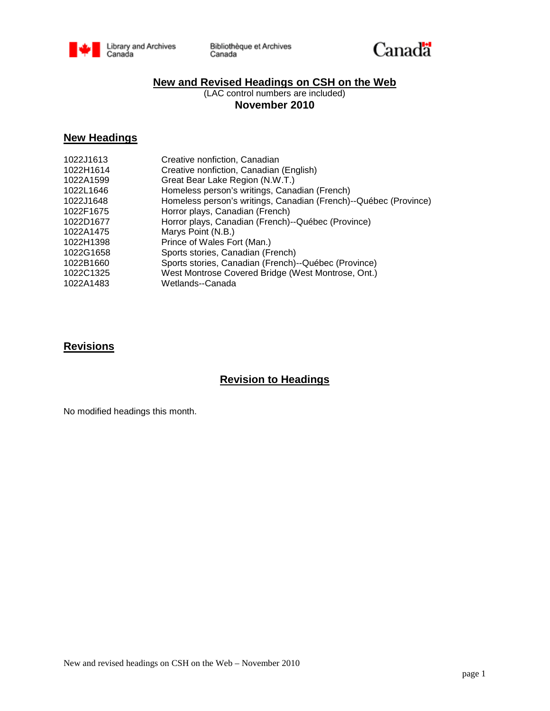



## **New and Revised Headings on CSH on the Web**

(LAC control numbers are included) **November 2010**

## **New Headings**

| 1022J1613 | Creative nonfiction, Canadian                                    |
|-----------|------------------------------------------------------------------|
| 1022H1614 | Creative nonfiction, Canadian (English)                          |
| 1022A1599 | Great Bear Lake Region (N.W.T.)                                  |
| 1022L1646 | Homeless person's writings, Canadian (French)                    |
| 1022J1648 | Homeless person's writings, Canadian (French)--Québec (Province) |
| 1022F1675 | Horror plays, Canadian (French)                                  |
| 1022D1677 | Horror plays, Canadian (French)--Québec (Province)               |
| 1022A1475 | Marys Point (N.B.)                                               |
| 1022H1398 | Prince of Wales Fort (Man.)                                      |
| 1022G1658 | Sports stories, Canadian (French)                                |
| 1022B1660 | Sports stories, Canadian (French)--Québec (Province)             |
| 1022C1325 | West Montrose Covered Bridge (West Montrose, Ont.)               |
| 1022A1483 | Wetlands--Canada                                                 |
|           |                                                                  |

### **Revisions**

# **Revision to Headings**

No modified headings this month.